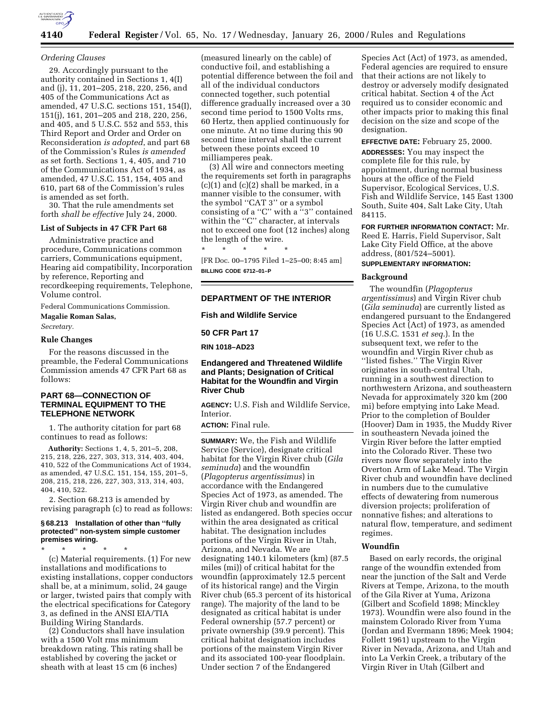

## **4140 Federal Register** / Vol. 65, No. 17 / Wednesday, January 26, 2000 / Rules and Regulations

#### *Ordering Clauses*

29. Accordingly pursuant to the authority contained in Sections 1, 4(I) and (j), 11, 201–205, 218, 220, 256, and 405 of the Communications Act as amended, 47 U.S.C. sections 151, 154(I), 151(j), 161, 201–205 and 218, 220, 256, and 405, and 5 U.S.C. 552 and 553, this Third Report and Order and Order on Reconsideration *is adopted*, and part 68 of the Commission's Rules *is amended* as set forth. Sections 1, 4, 405, and 710 of the Communications Act of 1934, as amended, 47 U.S.C. 151, 154, 405 and 610, part 68 of the Commission's rules is amended as set forth.

30. That the rule amendments set forth *shall be effective* July 24, 2000.

# **List of Subjects in 47 CFR Part 68**

Administrative practice and procedure, Communications common carriers, Communications equipment, Hearing aid compatibility, Incorporation by reference, Reporting and recordkeeping requirements, Telephone, Volume control.

Federal Communications Commission. **Magalie Roman Salas,**

*Secretary.*

### **Rule Changes**

For the reasons discussed in the preamble, the Federal Communications Commission amends 47 CFR Part 68 as follows:

## **PART 68—CONNECTION OF TERMINAL EQUIPMENT TO THE TELEPHONE NETWORK**

1. The authority citation for part 68 continues to read as follows:

**Authority:** Sections 1, 4, 5, 201–5, 208, 215, 218, 226, 227, 303, 313, 314, 403, 404, 410, 522 of the Communications Act of 1934, as amended, 47 U.S.C. 151, 154, 155, 201–5, 208, 215, 218, 226, 227, 303, 313, 314, 403, 404, 410, 522.

2. Section 68.213 is amended by revising paragraph (c) to read as follows:

#### **§ 68.213 Installation of other than ''fully protected'' non-system simple customer premises wiring.**

\* \* \* \* \*

(c) Material requirements. (1) For new installations and modifications to existing installations, copper conductors shall be, at a minimum, solid, 24 gauge or larger, twisted pairs that comply with the electrical specifications for Category 3, as defined in the ANSI EIA/TIA Building Wiring Standards.

(2) Conductors shall have insulation with a 1500 Volt rms minimum breakdown rating. This rating shall be established by covering the jacket or sheath with at least 15 cm (6 inches)

(measured linearly on the cable) of conductive foil, and establishing a potential difference between the foil and all of the individual conductors connected together, such potential difference gradually increased over a 30 second time period to 1500 Volts rms, 60 Hertz, then applied continuously for one minute. At no time during this 90 second time interval shall the current between these points exceed 10 milliamperes peak.

(3) All wire and connectors meeting the requirements set forth in paragraphs  $(c)(1)$  and  $(c)(2)$  shall be marked, in a manner visible to the consumer, with the symbol ''CAT 3'' or a symbol consisting of a ''C'' with a ''3'' contained within the ''C'' character, at intervals not to exceed one foot (12 inches) along the length of the wire.

[FR Doc. 00–1795 Filed 1–25–00; 8:45 am] **BILLING CODE 6712–01–P**

#### **DEPARTMENT OF THE INTERIOR**

**Fish and Wildlife Service**

\* \* \* \* \*

**50 CFR Part 17**

**RIN 1018–AD23**

## **Endangered and Threatened Wildlife and Plants; Designation of Critical Habitat for the Woundfin and Virgin River Chub**

**AGENCY:** U.S. Fish and Wildlife Service, Interior.

**ACTION:** Final rule.

**SUMMARY:** We, the Fish and Wildlife Service (Service), designate critical habitat for the Virgin River chub (*Gila seminuda*) and the woundfin (*Plagopterus argentissimus*) in accordance with the Endangered Species Act of 1973, as amended. The Virgin River chub and woundfin are listed as endangered. Both species occur within the area designated as critical habitat. The designation includes portions of the Virgin River in Utah, Arizona, and Nevada. We are designating 140.1 kilometers (km) (87.5 miles (mi)) of critical habitat for the woundfin (approximately 12.5 percent of its historical range) and the Virgin River chub (65.3 percent of its historical range). The majority of the land to be designated as critical habitat is under Federal ownership (57.7 percent) or private ownership (39.9 percent). This critical habitat designation includes portions of the mainstem Virgin River and its associated 100-year floodplain. Under section 7 of the Endangered

Species Act (Act) of 1973, as amended, Federal agencies are required to ensure that their actions are not likely to destroy or adversely modify designated critical habitat. Section 4 of the Act required us to consider economic and other impacts prior to making this final decision on the size and scope of the designation.

**EFFECTIVE DATE:** February 25, 2000. **ADDRESSES:** You may inspect the complete file for this rule, by appointment, during normal business hours at the office of the Field Supervisor, Ecological Services, U.S. Fish and Wildlife Service, 145 East 1300 South, Suite 404, Salt Lake City, Utah 84115.

**FOR FURTHER INFORMATION CONTACT:** Mr. Reed E. Harris, Field Supervisor, Salt Lake City Field Office, at the above address, (801/524–5001).

# **SUPPLEMENTARY INFORMATION:**

## **Background**

The woundfin (*Plagopterus argentissimus*) and Virgin River chub (*Gila seminuda*) are currently listed as endangered pursuant to the Endangered Species Act (Act) of 1973, as amended (16 U.S.C. 1531 *et seq.*). In the subsequent text, we refer to the woundfin and Virgin River chub as ''listed fishes.'' The Virgin River originates in south-central Utah, running in a southwest direction to northwestern Arizona, and southeastern Nevada for approximately 320 km (200 mi) before emptying into Lake Mead. Prior to the completion of Boulder (Hoover) Dam in 1935, the Muddy River in southeastern Nevada joined the Virgin River before the latter emptied into the Colorado River. These two rivers now flow separately into the Overton Arm of Lake Mead. The Virgin River chub and woundfin have declined in numbers due to the cumulative effects of dewatering from numerous diversion projects; proliferation of nonnative fishes; and alterations to natural flow, temperature, and sediment regimes.

## **Woundfin**

Based on early records, the original range of the woundfin extended from near the junction of the Salt and Verde Rivers at Tempe, Arizona, to the mouth of the Gila River at Yuma, Arizona (Gilbert and Scofield 1898; Minckley 1973). Woundfin were also found in the mainstem Colorado River from Yuma (Jordan and Evermann 1896; Meek 1904; Follett 1961) upstream to the Virgin River in Nevada, Arizona, and Utah and into La Verkin Creek, a tributary of the Virgin River in Utah (Gilbert and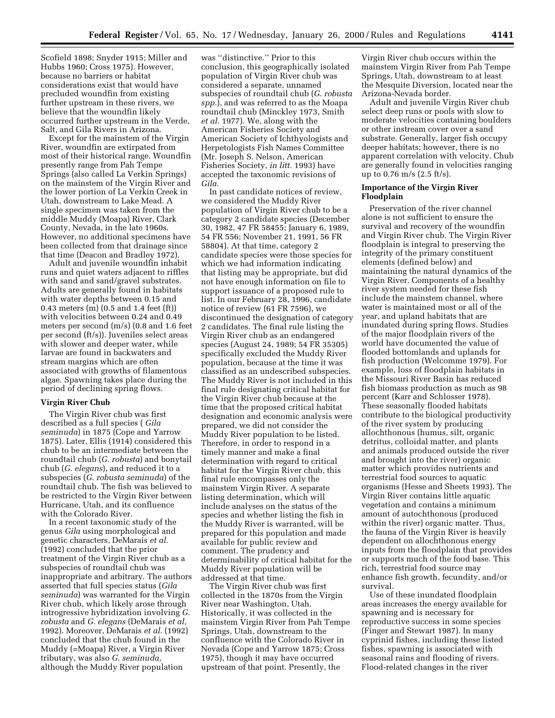Scofield 1898; Snyder 1915; Miller and Hubbs 1960; Cross 1975). However, because no barriers or habitat considerations exist that would have precluded woundfin from existing further upstream in these rivers, we believe that the woundfin likely occurred further upstream in the Verde, Salt, and Gila Rivers in Arizona.

Except for the mainstem of the Virgin River, woundfin are extirpated from most of their historical range. Woundfin presently range from Pah Tempe Springs (also called La Verkin Springs) on the mainstem of the Virgin River and the lower portion of La Verkin Creek in Utah, downstream to Lake Mead. A single specimen was taken from the middle Muddy (Moapa) River, Clark County, Nevada, in the late 1960s. However, no additional specimens have been collected from that drainage since that time (Deacon and Bradley 1972).

Adult and juvenile woundfin inhabit runs and quiet waters adjacent to riffles with sand and sand/gravel substrates. Adults are generally found in habitats with water depths between 0.15 and 0.43 meters (m) (0.5 and 1.4 feet (ft)) with velocities between 0.24 and 0.49 meters per second (m/s) (0.8 and 1.6 feet per second (ft/s)). Juveniles select areas with slower and deeper water, while larvae are found in backwaters and stream margins which are often associated with growths of filamentous algae. Spawning takes place during the period of declining spring flows.

## **Virgin River Chub**

The Virgin River chub was first described as a full species ( *Gila seminuda*) in 1875 (Cope and Yarrow 1875). Later, Ellis (1914) considered this chub to be an intermediate between the roundtail chub (*G. robusta*) and bonytail chub (*G. elegans*), and reduced it to a subspecies (*G. robusta seminuda*) of the roundtail chub. The fish was believed to be restricted to the Virgin River between Hurricane, Utah, and its confluence with the Colorado River.

In a recent taxonomic study of the genus *Gila* using morphological and genetic characters, DeMarais *et al.* (1992) concluded that the prior treatment of the Virgin River chub as a subspecies of roundtail chub was inappropriate and arbitrary. The authors asserted that full species status (*Gila seminuda*) was warranted for the Virgin River chub, which likely arose through introgressive hybridization involving *G. robusta* and *G. elegans* (DeMarais *et al,* 1992). Moreover, DeMarais *et al.* (1992) concluded that the chub found in the Muddy (=Moapa) River, a Virgin River tributary, was also *G. seminuda,* although the Muddy River population

was ''distinctive.'' Prior to this conclusion, this geographically isolated population of Virgin River chub was considered a separate, unnamed subspecies of roundtail chub (*G. robusta spp.*), and was referred to as the Moapa roundtail chub (Minckley 1973, Smith *et al.* 1977). We, along with the American Fisheries Society and American Society of Ichthyologists and Herpetologists Fish Names Committee (Mr. Joseph S. Nelson, American Fisheries Society, *in litt.* 1993) have accepted the taxonomic revisions of *Gila.*

In past candidate notices of review, we considered the Muddy River population of Virgin River chub to be a category 2 candidate species (December 30, 1982, 47 FR 58455; January 6, 1989, 54 FR 556; November 21, 1991, 56 FR 58804). At that time, category 2 candidate species were those species for which we had information indicating that listing may be appropriate, but did not have enough information on file to support issuance of a proposed rule to list. In our February 28, 1996, candidate notice of review (61 FR 7596), we discontinued the designation of category 2 candidates. The final rule listing the Virgin River chub as an endangered species (August 24, 1989; 54 FR 35305) specifically excluded the Muddy River population, because at the time it was classified as an undescribed subspecies. The Muddy River is not included in this final rule designating critical habitat for the Virgin River chub because at the time that the proposed critical habitat designation and economic analysis were prepared, we did not consider the Muddy River population to be listed. Therefore, in order to respond in a timely manner and make a final determination with regard to critical habitat for the Virgin River chub, this final rule encompasses only the mainstem Virgin River. A separate listing determination, which will include analyses on the status of the species and whether listing the fish in the Muddy River is warranted, will be prepared for this population and made available for public review and comment. The prudency and determinability of critical habitat for the Muddy River population will be addressed at that time.

The Virgin River chub was first collected in the 1870s from the Virgin River near Washington, Utah. Historically, it was collected in the mainstem Virgin River from Pah Tempe Springs, Utah, downstream to the confluence with the Colorado River in Nevada (Cope and Yarrow 1875; Cross 1975), though it may have occurred upstream of that point. Presently, the

Virgin River chub occurs within the mainstem Virgin River from Pah Tempe Springs, Utah, downstream to at least the Mesquite Diversion, located near the Arizona-Nevada border.

Adult and juvenile Virgin River chub select deep runs or pools with slow to moderate velocities containing boulders or other instream cover over a sand substrate. Generally, larger fish occupy deeper habitats; however, there is no apparent correlation with velocity. Chub are generally found in velocities ranging up to 0.76 m/s (2.5 ft/s).

## **Importance of the Virgin River Floodplain**

Preservation of the river channel alone is not sufficient to ensure the survival and recovery of the woundfin and Virgin River chub. The Virgin River floodplain is integral to preserving the integrity of the primary constituent elements (defined below) and maintaining the natural dynamics of the Virgin River. Components of a healthy river system needed for these fish include the mainstem channel, where water is maintained most or all of the year, and upland habitats that are inundated during spring flows. Studies of the major floodplain rivers of the world have documented the value of flooded bottomlands and uplands for fish production (Welcomme 1979). For example, loss of floodplain habitats in the Missouri River Basin has reduced fish biomass production as much as 98 percent (Karr and Schlosser 1978). These seasonally flooded habitats contribute to the biological productivity of the river system by producing allochthonous (humus, silt, organic detritus, colloidal matter, and plants and animals produced outside the river and brought into the river) organic matter which provides nutrients and terrestrial food sources to aquatic organisms (Hesse and Sheets 1993). The Virgin River contains little aquatic vegetation and contains a minimum amount of autochthonous (produced within the river) organic matter. Thus, the fauna of the Virgin River is heavily dependent on allochthonous energy inputs from the floodplain that provides or supports much of the food base. This rich, terrestrial food source may enhance fish growth, fecundity, and/or survival.

Use of these inundated floodplain areas increases the energy available for spawning and is necessary for reproductive success in some species (Finger and Stewart 1987). In many cyprinid fishes, including these listed fishes, spawning is associated with seasonal rains and flooding of rivers. Flood-related changes in the river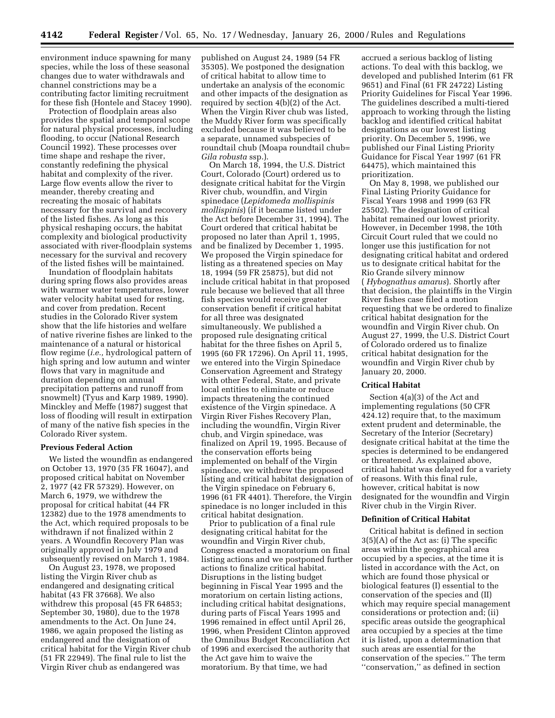environment induce spawning for many species, while the loss of these seasonal changes due to water withdrawals and channel constrictions may be a contributing factor limiting recruitment for these fish (Hontele and Stacey 1990).

Protection of floodplain areas also provides the spatial and temporal scope for natural physical processes, including flooding, to occur (National Research Council 1992). These processes over time shape and reshape the river, constantly redefining the physical habitat and complexity of the river. Large flow events allow the river to meander, thereby creating and recreating the mosaic of habitats necessary for the survival and recovery of the listed fishes. As long as this physical reshaping occurs, the habitat complexity and biological productivity associated with river-floodplain systems necessary for the survival and recovery of the listed fishes will be maintained.

Inundation of floodplain habitats during spring flows also provides areas with warmer water temperatures, lower water velocity habitat used for resting, and cover from predation. Recent studies in the Colorado River system show that the life histories and welfare of native riverine fishes are linked to the maintenance of a natural or historical flow regime (*i.e.,* hydrological pattern of high spring and low autumn and winter flows that vary in magnitude and duration depending on annual precipitation patterns and runoff from snowmelt) (Tyus and Karp 1989, 1990). Minckley and Meffe (1987) suggest that loss of flooding will result in extirpation of many of the native fish species in the Colorado River system.

#### **Previous Federal Action**

We listed the woundfin as endangered on October 13, 1970 (35 FR 16047), and proposed critical habitat on November 2, 1977 (42 FR 57329). However, on March 6, 1979, we withdrew the proposal for critical habitat (44 FR 12382) due to the 1978 amendments to the Act, which required proposals to be withdrawn if not finalized within 2 years. A Woundfin Recovery Plan was originally approved in July 1979 and subsequently revised on March 1, 1984.

On August 23, 1978, we proposed listing the Virgin River chub as endangered and designating critical habitat (43 FR 37668). We also withdrew this proposal (45 FR 64853; September 30, 1980), due to the 1978 amendments to the Act. On June 24, 1986, we again proposed the listing as endangered and the designation of critical habitat for the Virgin River chub (51 FR 22949). The final rule to list the Virgin River chub as endangered was

published on August 24, 1989 (54 FR 35305). We postponed the designation of critical habitat to allow time to undertake an analysis of the economic and other impacts of the designation as required by section 4(b)(2) of the Act. When the Virgin River chub was listed, the Muddy River form was specifically excluded because it was believed to be a separate, unnamed subspecies of roundtail chub (Moapa roundtail chub= *Gila robusta* ssp.).

On March 18, 1994, the U.S. District Court, Colorado (Court) ordered us to designate critical habitat for the Virgin River chub, woundfin, and Virgin spinedace (*Lepidomeda mollispinis mollispinis*) (if it became listed under the Act before December 31, 1994). The Court ordered that critical habitat be proposed no later than April 1, 1995, and be finalized by December 1, 1995. We proposed the Virgin spinedace for listing as a threatened species on May 18, 1994 (59 FR 25875), but did not include critical habitat in that proposed rule because we believed that all three fish species would receive greater conservation benefit if critical habitat for all three was designated simultaneously. We published a proposed rule designating critical habitat for the three fishes on April 5, 1995 (60 FR 17296). On April 11, 1995, we entered into the Virgin Spinedace Conservation Agreement and Strategy with other Federal, State, and private local entities to eliminate or reduce impacts threatening the continued existence of the Virgin spinedace. A Virgin River Fishes Recovery Plan, including the woundfin, Virgin River chub, and Virgin spinedace, was finalized on April 19, 1995. Because of the conservation efforts being implemented on behalf of the Virgin spinedace, we withdrew the proposed listing and critical habitat designation of the Virgin spinedace on February 6, 1996 (61 FR 4401). Therefore, the Virgin spinedace is no longer included in this critical habitat designation.

Prior to publication of a final rule designating critical habitat for the woundfin and Virgin River chub, Congress enacted a moratorium on final listing actions and we postponed further actions to finalize critical habitat. Disruptions in the listing budget beginning in Fiscal Year 1995 and the moratorium on certain listing actions, including critical habitat designations, during parts of Fiscal Years 1995 and 1996 remained in effect until April 26, 1996, when President Clinton approved the Omnibus Budget Reconciliation Act of 1996 and exercised the authority that the Act gave him to waive the moratorium. By that time, we had

accrued a serious backlog of listing actions. To deal with this backlog, we developed and published Interim (61 FR 9651) and Final (61 FR 24722) Listing Priority Guidelines for Fiscal Year 1996. The guidelines described a multi-tiered approach to working through the listing backlog and identified critical habitat designations as our lowest listing priority. On December 5, 1996, we published our Final Listing Priority Guidance for Fiscal Year 1997 (61 FR 64475), which maintained this prioritization.

On May 8, 1998, we published our Final Listing Priority Guidance for Fiscal Years 1998 and 1999 (63 FR 25502). The designation of critical habitat remained our lowest priority. However, in December 1998, the 10th Circuit Court ruled that we could no longer use this justification for not designating critical habitat and ordered us to designate critical habitat for the Rio Grande silvery minnow ( *Hybognathus amarus*). Shortly after that decision, the plaintiffs in the Virgin River fishes case filed a motion requesting that we be ordered to finalize critical habitat designation for the woundfin and Virgin River chub. On August 27, 1999, the U.S. District Court of Colorado ordered us to finalize critical habitat designation for the woundfin and Virgin River chub by January 20, 2000.

## **Critical Habitat**

Section 4(a)(3) of the Act and implementing regulations (50 CFR 424.12) require that, to the maximum extent prudent and determinable, the Secretary of the Interior (Secretary) designate critical habitat at the time the species is determined to be endangered or threatened. As explained above, critical habitat was delayed for a variety of reasons. With this final rule, however, critical habitat is now designated for the woundfin and Virgin River chub in the Virgin River.

### **Definition of Critical Habitat**

Critical habitat is defined in section 3(5)(A) of the Act as: (i) The specific areas within the geographical area occupied by a species, at the time it is listed in accordance with the Act, on which are found those physical or biological features (I) essential to the conservation of the species and (II) which may require special management considerations or protection and; (ii) specific areas outside the geographical area occupied by a species at the time it is listed, upon a determination that such areas are essential for the conservation of the species.'' The term ''conservation,'' as defined in section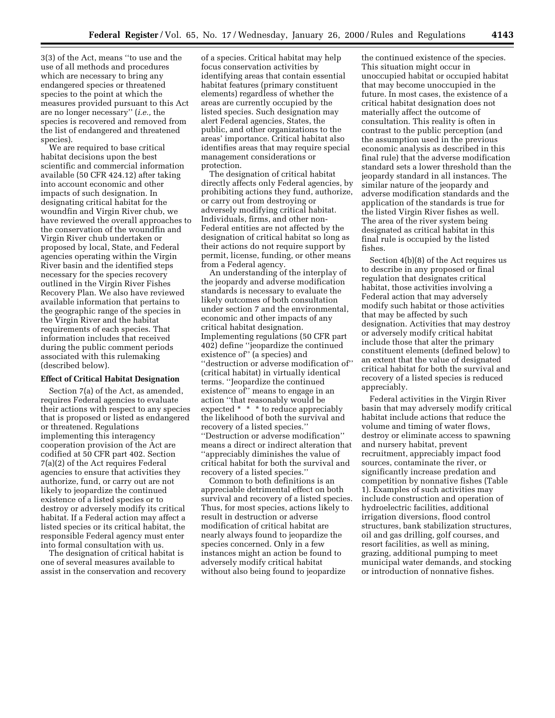3(3) of the Act, means ''to use and the use of all methods and procedures which are necessary to bring any endangered species or threatened species to the point at which the measures provided pursuant to this Act are no longer necessary'' (*i.e.,* the species is recovered and removed from the list of endangered and threatened species).

We are required to base critical habitat decisions upon the best scientific and commercial information available (50 CFR 424.12) after taking into account economic and other impacts of such designation. In designating critical habitat for the woundfin and Virgin River chub, we have reviewed the overall approaches to the conservation of the woundfin and Virgin River chub undertaken or proposed by local, State, and Federal agencies operating within the Virgin River basin and the identified steps necessary for the species recovery outlined in the Virgin River Fishes Recovery Plan. We also have reviewed available information that pertains to the geographic range of the species in the Virgin River and the habitat requirements of each species. That information includes that received during the public comment periods associated with this rulemaking (described below).

# **Effect of Critical Habitat Designation**

Section 7(a) of the Act, as amended, requires Federal agencies to evaluate their actions with respect to any species that is proposed or listed as endangered or threatened. Regulations implementing this interagency cooperation provision of the Act are codified at 50 CFR part 402. Section 7(a)(2) of the Act requires Federal agencies to ensure that activities they authorize, fund, or carry out are not likely to jeopardize the continued existence of a listed species or to destroy or adversely modify its critical habitat. If a Federal action may affect a listed species or its critical habitat, the responsible Federal agency must enter into formal consultation with us.

The designation of critical habitat is one of several measures available to assist in the conservation and recovery of a species. Critical habitat may help focus conservation activities by identifying areas that contain essential habitat features (primary constituent elements) regardless of whether the areas are currently occupied by the listed species. Such designation may alert Federal agencies, States, the public, and other organizations to the areas' importance. Critical habitat also identifies areas that may require special management considerations or protection.

The designation of critical habitat directly affects only Federal agencies, by prohibiting actions they fund, authorize, or carry out from destroying or adversely modifying critical habitat. Individuals, firms, and other non-Federal entities are not affected by the designation of critical habitat so long as their actions do not require support by permit, license, funding, or other means from a Federal agency.

An understanding of the interplay of the jeopardy and adverse modification standards is necessary to evaluate the likely outcomes of both consultation under section 7 and the environmental, economic and other impacts of any critical habitat designation. Implementing regulations (50 CFR part 402) define ''jeopardize the continued existence of'' (a species) and ''destruction or adverse modification of'' (critical habitat) in virtually identical terms. ''Jeopardize the continued existence of'' means to engage in an action ''that reasonably would be expected \* \* \* to reduce appreciably the likelihood of both the survival and recovery of a listed species.'' ''Destruction or adverse modification'' means a direct or indirect alteration that ''appreciably diminishes the value of critical habitat for both the survival and recovery of a listed species.''

Common to both definitions is an appreciable detrimental effect on both survival and recovery of a listed species. Thus, for most species, actions likely to result in destruction or adverse modification of critical habitat are nearly always found to jeopardize the species concerned. Only in a few instances might an action be found to adversely modify critical habitat without also being found to jeopardize

the continued existence of the species. This situation might occur in unoccupied habitat or occupied habitat that may become unoccupied in the future. In most cases, the existence of a critical habitat designation does not materially affect the outcome of consultation. This reality is often in contrast to the public perception (and the assumption used in the previous economic analysis as described in this final rule) that the adverse modification standard sets a lower threshold than the jeopardy standard in all instances. The similar nature of the jeopardy and adverse modification standards and the application of the standards is true for the listed Virgin River fishes as well. The area of the river system being designated as critical habitat in this final rule is occupied by the listed fishes.

Section 4(b)(8) of the Act requires us to describe in any proposed or final regulation that designates critical habitat, those activities involving a Federal action that may adversely modify such habitat or those activities that may be affected by such designation. Activities that may destroy or adversely modify critical habitat include those that alter the primary constituent elements (defined below) to an extent that the value of designated critical habitat for both the survival and recovery of a listed species is reduced appreciably.

Federal activities in the Virgin River basin that may adversely modify critical habitat include actions that reduce the volume and timing of water flows, destroy or eliminate access to spawning and nursery habitat, prevent recruitment, appreciably impact food sources, contaminate the river, or significantly increase predation and competition by nonnative fishes (Table 1). Examples of such activities may include construction and operation of hydroelectric facilities, additional irrigation diversions, flood control structures, bank stabilization structures, oil and gas drilling, golf courses, and resort facilities, as well as mining, grazing, additional pumping to meet municipal water demands, and stocking or introduction of nonnative fishes.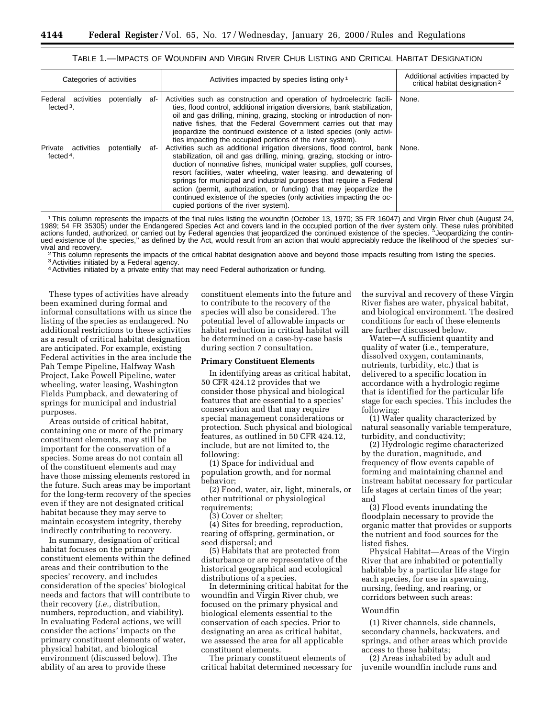| Table 1.—Impacts of Woundfin and Virgin River Chub Listing and Critical Habitat Designation |
|---------------------------------------------------------------------------------------------|
|---------------------------------------------------------------------------------------------|

| Categories of activities           |             |     | Activities impacted by species listing only 1                                                                                                                                                                                                                                                                                                                                                                                                                                                                                                                       | Additional activities impacted by<br>critical habitat designation <sup>2</sup> |
|------------------------------------|-------------|-----|---------------------------------------------------------------------------------------------------------------------------------------------------------------------------------------------------------------------------------------------------------------------------------------------------------------------------------------------------------------------------------------------------------------------------------------------------------------------------------------------------------------------------------------------------------------------|--------------------------------------------------------------------------------|
| Federal activities<br>fected $3$ . | potentially | af- | Activities such as construction and operation of hydroelectric facili-<br>ties, flood control, additional irrigation diversions, bank stabilization,<br>oil and gas drilling, mining, grazing, stocking or introduction of non-<br>native fishes, that the Federal Government carries out that may<br>jeopardize the continued existence of a listed species (only activi-<br>ties impacting the occupied portions of the river system).                                                                                                                            | None.                                                                          |
| Private activities<br>fected $4$ . | potentially | af- | Activities such as additional irrigation diversions, flood control, bank<br>stabilization, oil and gas drilling, mining, grazing, stocking or intro-<br>duction of nonnative fishes, municipal water supplies, golf courses,<br>resort facilities, water wheeling, water leasing, and dewatering of<br>springs for municipal and industrial purposes that require a Federal<br>action (permit, authorization, or funding) that may jeopardize the<br>continued existence of the species (only activities impacting the oc-<br>cupied portions of the river system). | None.                                                                          |

1This column represents the impacts of the final rules listing the woundfin (October 13, 1970; 35 FR 16047) and Virgin River chub (August 24, 1989; 54 FR 35305) under the Endangered Species Act and covers land in the occupied portion of the river system only. These rules prohibited actions funded, authorized, or carried out by Federal agencies that jeopardized the continued existence of the species. ''Jeopardizing the continued existence of the species," as defined by the Act, would result from an action that would appreciably reduce the likelihood of the species' sur-<br>vival and recovery.

<sup>2</sup>This column represents the impacts of the critical habitat designation above and beyond those impacts resulting from listing the species.<br><sup>3</sup>Activities initiated by a Federal agency.

4Activities initiated by a private entity that may need Federal authorization or funding.

These types of activities have already been examined during formal and informal consultations with us since the listing of the species as endangered. No additional restrictions to these activities as a result of critical habitat designation are anticipated. For example, existing Federal activities in the area include the Pah Tempe Pipeline, Halfway Wash Project, Lake Powell Pipeline, water wheeling, water leasing, Washington Fields Pumpback, and dewatering of springs for municipal and industrial purposes.

Areas outside of critical habitat, containing one or more of the primary constituent elements, may still be important for the conservation of a species. Some areas do not contain all of the constituent elements and may have those missing elements restored in the future. Such areas may be important for the long-term recovery of the species even if they are not designated critical habitat because they may serve to maintain ecosystem integrity, thereby indirectly contributing to recovery.

In summary, designation of critical habitat focuses on the primary constituent elements within the defined areas and their contribution to the species' recovery, and includes consideration of the species' biological needs and factors that will contribute to their recovery (*i.e.,* distribution, numbers, reproduction, and viability). In evaluating Federal actions, we will consider the actions' impacts on the primary constituent elements of water, physical habitat, and biological environment (discussed below). The ability of an area to provide these

constituent elements into the future and to contribute to the recovery of the species will also be considered. The potential level of allowable impacts or habitat reduction in critical habitat will be determined on a case-by-case basis during section 7 consultation.

#### **Primary Constituent Elements**

In identifying areas as critical habitat, 50 CFR 424.12 provides that we consider those physical and biological features that are essential to a species' conservation and that may require special management considerations or protection. Such physical and biological features, as outlined in 50 CFR 424.12, include, but are not limited to, the following:

(1) Space for individual and population growth, and for normal behavior;

(2) Food, water, air, light, minerals, or other nutritional or physiological requirements;

(3) Cover or shelter;

(4) Sites for breeding, reproduction, rearing of offspring, germination, or seed dispersal; and

(5) Habitats that are protected from disturbance or are representative of the historical geographical and ecological distributions of a species.

In determining critical habitat for the woundfin and Virgin River chub, we focused on the primary physical and biological elements essential to the conservation of each species. Prior to designating an area as critical habitat, we assessed the area for all applicable constituent elements.

The primary constituent elements of critical habitat determined necessary for the survival and recovery of these Virgin River fishes are water, physical habitat, and biological environment. The desired conditions for each of these elements are further discussed below.

Water—A sufficient quantity and quality of water (i.e., temperature, dissolved oxygen, contaminants, nutrients, turbidity, etc.) that is delivered to a specific location in accordance with a hydrologic regime that is identified for the particular life stage for each species. This includes the following:

(1) Water quality characterized by natural seasonally variable temperature, turbidity, and conductivity;

(2) Hydrologic regime characterized by the duration, magnitude, and frequency of flow events capable of forming and maintaining channel and instream habitat necessary for particular life stages at certain times of the year; and

(3) Flood events inundating the floodplain necessary to provide the organic matter that provides or supports the nutrient and food sources for the listed fishes.

Physical Habitat—Areas of the Virgin River that are inhabited or potentially habitable by a particular life stage for each species, for use in spawning, nursing, feeding, and rearing, or corridors between such areas:

### Woundfin

(1) River channels, side channels, secondary channels, backwaters, and springs, and other areas which provide access to these habitats;

(2) Areas inhabited by adult and juvenile woundfin include runs and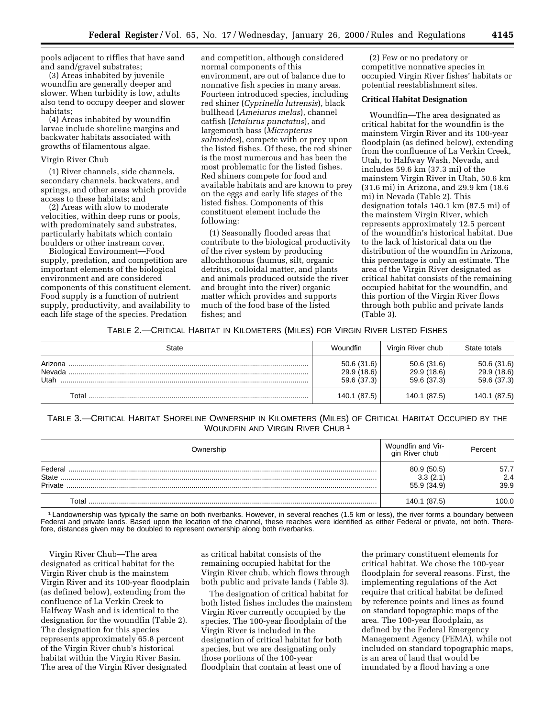pools adjacent to riffles that have sand and sand/gravel substrates;

(3) Areas inhabited by juvenile woundfin are generally deeper and slower. When turbidity is low, adults also tend to occupy deeper and slower habitats;

(4) Areas inhabited by woundfin larvae include shoreline margins and backwater habitats associated with growths of filamentous algae.

#### Virgin River Chub

(1) River channels, side channels, secondary channels, backwaters, and springs, and other areas which provide access to these habitats; and

(2) Areas with slow to moderate velocities, within deep runs or pools, with predominately sand substrates, particularly habitats which contain boulders or other instream cover.

Biological Environment—Food supply, predation, and competition are important elements of the biological environment and are considered components of this constituent element. Food supply is a function of nutrient supply, productivity, and availability to each life stage of the species. Predation

and competition, although considered normal components of this environment, are out of balance due to nonnative fish species in many areas. Fourteen introduced species, including red shiner (*Cyprinella lutrensis*), black bullhead (*Ameiurus melas*), channel catfish (*Ictalurus punctatus*), and largemouth bass (*Micropterus salmoides*), compete with or prey upon the listed fishes. Of these, the red shiner is the most numerous and has been the most problematic for the listed fishes. Red shiners compete for food and available habitats and are known to prey on the eggs and early life stages of the listed fishes. Components of this constituent element include the following:

(1) Seasonally flooded areas that contribute to the biological productivity of the river system by producing allochthonous (humus, silt, organic detritus, colloidal matter, and plants and animals produced outside the river and brought into the river) organic matter which provides and supports much of the food base of the listed fishes; and

(2) Few or no predatory or competitive nonnative species in occupied Virgin River fishes' habitats or potential reestablishment sites.

## **Critical Habitat Designation**

Woundfin—The area designated as critical habitat for the woundfin is the mainstem Virgin River and its 100-year floodplain (as defined below), extending from the confluence of La Verkin Creek, Utah, to Halfway Wash, Nevada, and includes 59.6 km (37.3 mi) of the mainstem Virgin River in Utah, 50.6 km (31.6 mi) in Arizona, and 29.9 km (18.6 mi) in Nevada (Table 2). This designation totals 140.1 km (87.5 mi) of the mainstem Virgin River, which represents approximately 12.5 percent of the woundfin's historical habitat. Due to the lack of historical data on the distribution of the woundfin in Arizona, this percentage is only an estimate. The area of the Virgin River designated as critical habitat consists of the remaining occupied habitat for the woundfin, and this portion of the Virgin River flows through both public and private lands (Table 3).

## TABLE 2.—CRITICAL HABITAT IN KILOMETERS (MILES) FOR VIRGIN RIVER LISTED FISHES

| State                     | Woundfin                                 | Virgin River chub                        | State totals                             |
|---------------------------|------------------------------------------|------------------------------------------|------------------------------------------|
| Arizona<br>Nevada<br>Utah | 50.6(31.6)<br>29.9 (18.6)<br>59.6 (37.3) | 50.6(31.6)<br>29.9 (18.6)<br>59.6 (37.3) | 50.6(31.6)<br>29.9 (18.6)<br>59.6 (37.3) |
| Total                     | 140.1 (87.5)                             | 140.1 (87.5)                             | 140.1 (87.5)                             |

TABLE 3.—CRITICAL HABITAT SHORELINE OWNERSHIP IN KILOMETERS (MILES) OF CRITICAL HABITAT OCCUPIED BY THE WOUNDFIN AND VIRGIN RIVER CHUB<sup>1</sup>

|                             | Ownership | Woundfin and Vir-<br>gin River chub    | Percent             |
|-----------------------------|-----------|----------------------------------------|---------------------|
| Federal<br>State<br>Private |           | 80.9 (50.5)<br>3.3(2.1)<br>55.9 (34.9) | 57.7<br>2.4<br>39.9 |
|                             | Total     | 140.1 (87.5)                           | 100.0               |

1 Landownership was typically the same on both riverbanks. However, in several reaches (1.5 km or less), the river forms a boundary between Federal and private lands. Based upon the location of the channel, these reaches were identified as either Federal or private, not both. Therefore, distances given may be doubled to represent ownership along both riverbanks.

Virgin River Chub—The area designated as critical habitat for the Virgin River chub is the mainstem Virgin River and its 100-year floodplain (as defined below), extending from the confluence of La Verkin Creek to Halfway Wash and is identical to the designation for the woundfin (Table 2). The designation for this species represents approximately 65.8 percent of the Virgin River chub's historical habitat within the Virgin River Basin. The area of the Virgin River designated

as critical habitat consists of the remaining occupied habitat for the Virgin River chub, which flows through both public and private lands (Table 3).

The designation of critical habitat for both listed fishes includes the mainstem Virgin River currently occupied by the species. The 100-year floodplain of the Virgin River is included in the designation of critical habitat for both species, but we are designating only those portions of the 100-year floodplain that contain at least one of

the primary constituent elements for critical habitat. We chose the 100-year floodplain for several reasons. First, the implementing regulations of the Act require that critical habitat be defined by reference points and lines as found on standard topographic maps of the area. The 100-year floodplain, as defined by the Federal Emergency Management Agency (FEMA), while not included on standard topographic maps, is an area of land that would be inundated by a flood having a one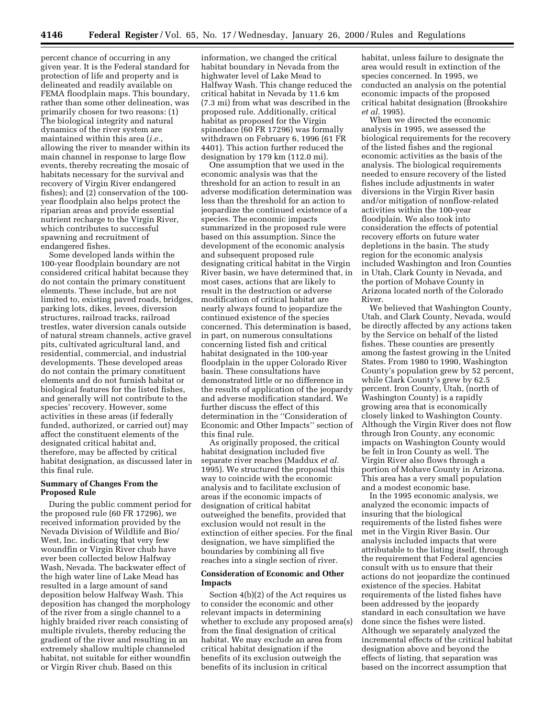percent chance of occurring in any given year. It is the Federal standard for protection of life and property and is delineated and readily available on FEMA floodplain maps. This boundary, rather than some other delineation, was primarily chosen for two reasons: (1) The biological integrity and natural dynamics of the river system are maintained within this area (*i.e.,* allowing the river to meander within its main channel in response to large flow events, thereby recreating the mosaic of habitats necessary for the survival and recovery of Virgin River endangered fishes); and (2) conservation of the 100 year floodplain also helps protect the riparian areas and provide essential nutrient recharge to the Virgin River, which contributes to successful spawning and recruitment of endangered fishes.

Some developed lands within the 100-year floodplain boundary are not considered critical habitat because they do not contain the primary constituent elements. These include, but are not limited to, existing paved roads, bridges, parking lots, dikes, levees, diversion structures, railroad tracks, railroad trestles, water diversion canals outside of natural stream channels, active gravel pits, cultivated agricultural land, and residential, commercial, and industrial developments. These developed areas do not contain the primary constituent elements and do not furnish habitat or biological features for the listed fishes, and generally will not contribute to the species' recovery. However, some activities in these areas (if federally funded, authorized, or carried out) may affect the constituent elements of the designated critical habitat and, therefore, may be affected by critical habitat designation, as discussed later in this final rule.

## **Summary of Changes From the Proposed Rule**

During the public comment period for the proposed rule (60 FR 17296), we received information provided by the Nevada Division of Wildlife and Bio/ West, Inc. indicating that very few woundfin or Virgin River chub have ever been collected below Halfway Wash, Nevada. The backwater effect of the high water line of Lake Mead has resulted in a large amount of sand deposition below Halfway Wash. This deposition has changed the morphology of the river from a single channel to a highly braided river reach consisting of multiple rivulets, thereby reducing the gradient of the river and resulting in an extremely shallow multiple channeled habitat, not suitable for either woundfin or Virgin River chub. Based on this

information, we changed the critical habitat boundary in Nevada from the highwater level of Lake Mead to Halfway Wash. This change reduced the critical habitat in Nevada by 11.6 km (7.3 mi) from what was described in the proposed rule. Additionally, critical habitat as proposed for the Virgin spinedace (60 FR 17296) was formally withdrawn on February 6, 1996 (61 FR 4401). This action further reduced the designation by 179 km (112.0 mi).

One assumption that we used in the economic analysis was that the threshold for an action to result in an adverse modification determination was less than the threshold for an action to jeopardize the continued existence of a species. The economic impacts summarized in the proposed rule were based on this assumption. Since the development of the economic analysis and subsequent proposed rule designating critical habitat in the Virgin River basin, we have determined that, in most cases, actions that are likely to result in the destruction or adverse modification of critical habitat are nearly always found to jeopardize the continued existence of the species concerned. This determination is based, in part, on numerous consultations concerning listed fish and critical habitat designated in the 100-year floodplain in the upper Colorado River basin. These consultations have demonstrated little or no difference in the results of application of the jeopardy and adverse modification standard. We further discuss the effect of this determination in the ''Consideration of Economic and Other Impacts'' section of this final rule.

As originally proposed, the critical habitat designation included five separate river reaches (Maddux *et al.* 1995). We structured the proposal this way to coincide with the economic analysis and to facilitate exclusion of areas if the economic impacts of designation of critical habitat outweighed the benefits, provided that exclusion would not result in the extinction of either species. For the final designation, we have simplified the boundaries by combining all five reaches into a single section of river.

## **Consideration of Economic and Other Impacts**

Section 4(b)(2) of the Act requires us to consider the economic and other relevant impacts in determining whether to exclude any proposed area(s) from the final designation of critical habitat. We may exclude an area from critical habitat designation if the benefits of its exclusion outweigh the benefits of its inclusion in critical

habitat, unless failure to designate the area would result in extinction of the species concerned. In 1995, we conducted an analysis on the potential economic impacts of the proposed critical habitat designation (Brookshire *et al.* 1995).

When we directed the economic analysis in 1995, we assessed the biological requirements for the recovery of the listed fishes and the regional economic activities as the basis of the analysis. The biological requirements needed to ensure recovery of the listed fishes include adjustments in water diversions in the Virgin River basin and/or mitigation of nonflow-related activities within the 100-year floodplain. We also took into consideration the effects of potential recovery efforts on future water depletions in the basin. The study region for the economic analysis included Washington and Iron Counties in Utah, Clark County in Nevada, and the portion of Mohave County in Arizona located north of the Colorado River.

We believed that Washington County, Utah, and Clark County, Nevada, would be directly affected by any actions taken by the Service on behalf of the listed fishes. These counties are presently among the fastest growing in the United States. From 1980 to 1990, Washington County's population grew by 52 percent, while Clark County's grew by 62.5 percent. Iron County, Utah, (north of Washington County) is a rapidly growing area that is economically closely linked to Washington County. Although the Virgin River does not flow through Iron County, any economic impacts on Washington County would be felt in Iron County as well. The Virgin River also flows through a portion of Mohave County in Arizona. This area has a very small population and a modest economic base.

In the 1995 economic analysis, we analyzed the economic impacts of insuring that the biological requirements of the listed fishes were met in the Virgin River Basin. Our analysis included impacts that were attributable to the listing itself, through the requirement that Federal agencies consult with us to ensure that their actions do not jeopardize the continued existence of the species. Habitat requirements of the listed fishes have been addressed by the jeopardy standard in each consultation we have done since the fishes were listed. Although we separately analyzed the incremental effects of the critical habitat designation above and beyond the effects of listing, that separation was based on the incorrect assumption that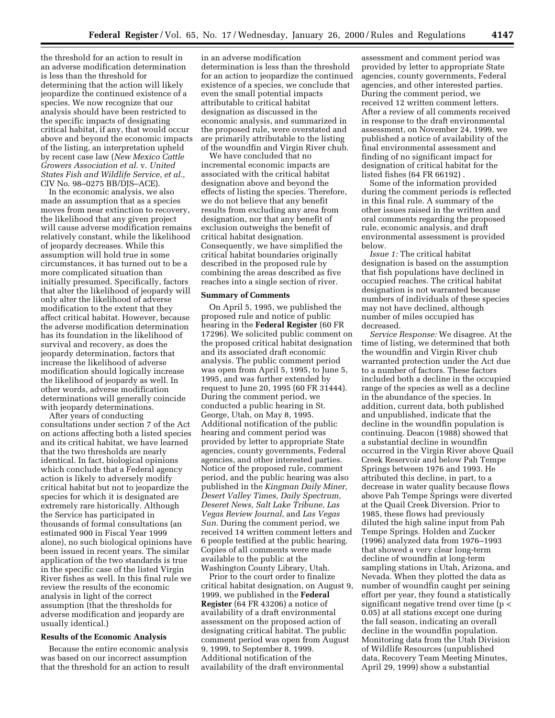the threshold for an action to result in an adverse modification determination is less than the threshold for determining that the action will likely jeopardize the continued existence of a species. We now recognize that our analysis should have been restricted to the specific impacts of designating critical habitat, if any, that would occur above and beyond the economic impacts of the listing, an interpretation upheld by recent case law (*New Mexico Cattle Growers Association et al.* v. *United States Fish and Wildlife Service, et al.,* CIV No. 98–0275 BB/DJS–ACE).

In the economic analysis, we also made an assumption that as a species moves from near extinction to recovery, the likelihood that any given project will cause adverse modification remains relatively constant, while the likelihood of jeopardy decreases. While this assumption will hold true in some circumstances, it has turned out to be a more complicated situation than initially presumed. Specifically, factors that alter the likelihood of jeopardy will only alter the likelihood of adverse modification to the extent that they affect critical habitat. However, because the adverse modification determination has its foundation in the likelihood of survival and recovery, as does the jeopardy determination, factors that increase the likelihood of adverse modification should logically increase the likelihood of jeopardy as well. In other words, adverse modification determinations will generally coincide with jeopardy determinations.

After years of conducting consultations under section 7 of the Act on actions affecting both a listed species and its critical habitat, we have learned that the two thresholds are nearly identical. In fact, biological opinions which conclude that a Federal agency action is likely to adversely modify critical habitat but not to jeopardize the species for which it is designated are extremely rare historically. Although the Service has participated in thousands of formal consultations (an estimated 900 in Fiscal Year 1999 alone), no such biological opinions have been issued in recent years. The similar application of the two standards is true in the specific case of the listed Virgin River fishes as well. In this final rule we review the results of the economic analysis in light of the correct assumption (that the thresholds for adverse modification and jeopardy are usually identical.)

## **Results of the Economic Analysis**

Because the entire economic analysis was based on our incorrect assumption that the threshold for an action to result

in an adverse modification determination is less than the threshold for an action to jeopardize the continued existence of a species, we conclude that even the small potential impacts attributable to critical habitat designation as discussed in the economic analysis, and summarized in the proposed rule, were overstated and are primarily attributable to the listing of the woundfin and Virgin River chub.

We have concluded that no incremental economic impacts are associated with the critical habitat designation above and beyond the effects of listing the species. Therefore, we do not believe that any benefit results from excluding any area from designation, nor that any benefit of exclusion outweighs the benefit of critical habitat designation. Consequently, we have simplified the critical habitat boundaries originally described in the proposed rule by combining the areas described as five reaches into a single section of river.

#### **Summary of Comments**

On April 5, 1995, we published the proposed rule and notice of public hearing in the **Federal Register** (60 FR 17296). We solicited public comment on the proposed critical habitat designation and its associated draft economic analysis. The public comment period was open from April 5, 1995, to June 5, 1995, and was further extended by request to June 20, 1995 (60 FR 31444). During the comment period, we conducted a public hearing in St. George, Utah, on May 8, 1995. Additional notification of the public hearing and comment period was provided by letter to appropriate State agencies, county governments, Federal agencies, and other interested parties. Notice of the proposed rule, comment period, and the public hearing was also published in the *Kingman Daily Miner, Desert Valley Times, Daily Spectrum, Deseret News, Salt Lake Tribune, Las Vegas Review Journal,* and *Las Vegas Sun.* During the comment period, we received 14 written comment letters and 6 people testified at the public hearing. Copies of all comments were made available to the public at the Washington County Library, Utah.

Prior to the court order to finalize critical habitat designation, on August 9, 1999, we published in the **Federal Register** (64 FR 43206) a notice of availability of a draft environmental assessment on the proposed action of designating critical habitat. The public comment period was open from August 9, 1999, to September 8, 1999. Additional notification of the availability of the draft environmental

assessment and comment period was provided by letter to appropriate State agencies, county governments, Federal agencies, and other interested parties. During the comment period, we received 12 written comment letters. After a review of all comments received in response to the draft environmental assessment, on November 24, 1999, we published a notice of availability of the final environmental assessment and finding of no significant impact for designation of critical habitat for the listed fishes (64 FR 66192) .

Some of the information provided during the comment periods is reflected in this final rule. A summary of the other issues raised in the written and oral comments regarding the proposed rule, economic analysis, and draft environmental assessment is provided below.

*Issue 1:* The critical habitat designation is based on the assumption that fish populations have declined in occupied reaches. The critical habitat designation is not warranted because numbers of individuals of these species may not have declined, although number of miles occupied has decreased.

*Service Response:* We disagree. At the time of listing, we determined that both the woundfin and Virgin River chub warranted protection under the Act due to a number of factors. These factors included both a decline in the occupied range of the species as well as a decline in the abundance of the species. In addition, current data, both published and unpublished, indicate that the decline in the woundfin population is continuing. Deacon (1988) showed that a substantial decline in woundfin occurred in the Virgin River above Quail Creek Reservoir and below Pah Tempe Springs between 1976 and 1993. He attributed this decline, in part, to a decrease in water quality because flows above Pah Tempe Springs were diverted at the Quail Creek Diversion. Prior to 1985, these flows had previously diluted the high saline input from Pah Tempe Springs. Holden and Zucker (1996) analyzed data from 1976–1993 that showed a very clear long-term decline of woundfin at long-term sampling stations in Utah, Arizona, and Nevada. When they plotted the data as number of woundfin caught per seining effort per year, they found a statistically significant negative trend over time (p < 0.05) at all stations except one during the fall season, indicating an overall decline in the woundfin population. Monitoring data from the Utah Division of Wildlife Resources (unpublished data, Recovery Team Meeting Minutes, April 29, 1999) show a substantial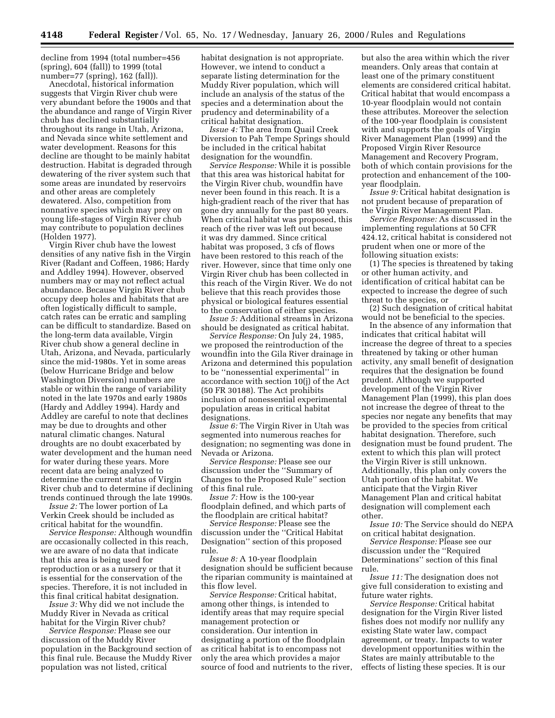decline from 1994 (total number=456 (spring), 604 (fall)) to 1999 (total number=77 (spring), 162 (fall)).

Anecdotal, historical information suggests that Virgin River chub were very abundant before the 1900s and that the abundance and range of Virgin River chub has declined substantially throughout its range in Utah, Arizona, and Nevada since white settlement and water development. Reasons for this decline are thought to be mainly habitat destruction. Habitat is degraded through dewatering of the river system such that some areas are inundated by reservoirs and other areas are completely dewatered. Also, competition from nonnative species which may prey on young life-stages of Virgin River chub may contribute to population declines (Holden 1977).

Virgin River chub have the lowest densities of any native fish in the Virgin River (Radant and Coffeen, 1986; Hardy and Addley 1994). However, observed numbers may or may not reflect actual abundance. Because Virgin River chub occupy deep holes and habitats that are often logistically difficult to sample, catch rates can be erratic and sampling can be difficult to standardize. Based on the long-term data available, Virgin River chub show a general decline in Utah, Arizona, and Nevada, particularly since the mid-1980s. Yet in some areas (below Hurricane Bridge and below Washington Diversion) numbers are stable or within the range of variability noted in the late 1970s and early 1980s (Hardy and Addley 1994). Hardy and Addley are careful to note that declines may be due to droughts and other natural climatic changes. Natural droughts are no doubt exacerbated by water development and the human need for water during these years. More recent data are being analyzed to determine the current status of Virgin River chub and to determine if declining trends continued through the late 1990s.

*Issue 2:* The lower portion of La Verkin Creek should be included as critical habitat for the woundfin.

*Service Response:* Although woundfin are occasionally collected in this reach, we are aware of no data that indicate that this area is being used for reproduction or as a nursery or that it is essential for the conservation of the species. Therefore, it is not included in this final critical habitat designation.

*Issue 3:* Why did we not include the Muddy River in Nevada as critical habitat for the Virgin River chub?

*Service Response:* Please see our discussion of the Muddy River population in the Background section of this final rule. Because the Muddy River population was not listed, critical

habitat designation is not appropriate. However, we intend to conduct a separate listing determination for the Muddy River population, which will include an analysis of the status of the species and a determination about the prudency and determinability of a critical habitat designation.

*Issue 4:* The area from Quail Creek Diversion to Pah Tempe Springs should be included in the critical habitat designation for the woundfin.

*Service Response:* While it is possible that this area was historical habitat for the Virgin River chub, woundfin have never been found in this reach. It is a high-gradient reach of the river that has gone dry annually for the past 80 years. When critical habitat was proposed, this reach of the river was left out because it was dry dammed. Since critical habitat was proposed, 3 cfs of flows have been restored to this reach of the river. However, since that time only one Virgin River chub has been collected in this reach of the Virgin River. We do not believe that this reach provides those physical or biological features essential to the conservation of either species.

*Issue 5:* Additional streams in Arizona should be designated as critical habitat.

*Service Response:* On July 24, 1985, we proposed the reintroduction of the woundfin into the Gila River drainage in Arizona and determined this population to be ''nonessential experimental'' in accordance with section 10(j) of the Act (50 FR 30188). The Act prohibits inclusion of nonessential experimental population areas in critical habitat designations.

*Issue 6:* The Virgin River in Utah was segmented into numerous reaches for designation; no segmenting was done in Nevada or Arizona.

*Service Response:* Please see our discussion under the ''Summary of Changes to the Proposed Rule'' section of this final rule.

*Issue 7:* How is the 100-year floodplain defined, and which parts of the floodplain are critical habitat?

*Service Response:* Please see the discussion under the ''Critical Habitat Designation'' section of this proposed rule.

*Issue 8:* A 10-year floodplain designation should be sufficient because the riparian community is maintained at this flow level.

*Service Response:* Critical habitat, among other things, is intended to identify areas that may require special management protection or consideration. Our intention in designating a portion of the floodplain as critical habitat is to encompass not only the area which provides a major source of food and nutrients to the river,

but also the area within which the river meanders. Only areas that contain at least one of the primary constituent elements are considered critical habitat. Critical habitat that would encompass a 10-year floodplain would not contain these attributes. Moreover the selection of the 100-year floodplain is consistent with and supports the goals of Virgin River Management Plan (1999) and the Proposed Virgin River Resource Management and Recovery Program, both of which contain provisions for the protection and enhancement of the 100 year floodplain.

*Issue 9:* Critical habitat designation is not prudent because of preparation of the Virgin River Management Plan.

*Service Response:* As discussed in the implementing regulations at 50 CFR 424.12, critical habitat is considered not prudent when one or more of the following situation exists:

(1) The species is threatened by taking or other human activity, and identification of critical habitat can be expected to increase the degree of such threat to the species, or

(2) Such designation of critical habitat would not be beneficial to the species.

In the absence of any information that indicates that critical habitat will increase the degree of threat to a species threatened by taking or other human activity, any small benefit of designation requires that the designation be found prudent. Although we supported development of the Virgin River Management Plan (1999), this plan does not increase the degree of threat to the species nor negate any benefits that may be provided to the species from critical habitat designation. Therefore, such designation must be found prudent. The extent to which this plan will protect the Virgin River is still unknown. Additionally, this plan only covers the Utah portion of the habitat. We anticipate that the Virgin River Management Plan and critical habitat designation will complement each other.

*Issue 10:* The Service should do NEPA on critical habitat designation.

*Service Response:* Please see our discussion under the ''Required Determinations'' section of this final rule.

*Issue 11:* The designation does not give full consideration to existing and future water rights.

*Service Response:* Critical habitat designation for the Virgin River listed fishes does not modify nor nullify any existing State water law, compact agreement, or treaty. Impacts to water development opportunities within the States are mainly attributable to the effects of listing these species. It is our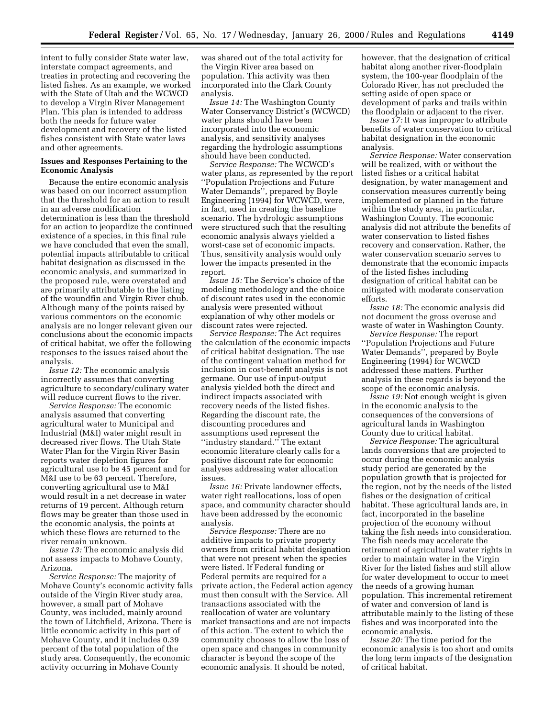intent to fully consider State water law, interstate compact agreements, and treaties in protecting and recovering the listed fishes. As an example, we worked with the State of Utah and the WCWCD to develop a Virgin River Management Plan. This plan is intended to address both the needs for future water development and recovery of the listed fishes consistent with State water laws and other agreements.

### **Issues and Responses Pertaining to the Economic Analysis**

Because the entire economic analysis was based on our incorrect assumption that the threshold for an action to result in an adverse modification determination is less than the threshold for an action to jeopardize the continued existence of a species, in this final rule we have concluded that even the small, potential impacts attributable to critical habitat designation as discussed in the economic analysis, and summarized in the proposed rule, were overstated and are primarily attributable to the listing of the woundfin and Virgin River chub. Although many of the points raised by various commentors on the economic analysis are no longer relevant given our conclusions about the economic impacts of critical habitat, we offer the following responses to the issues raised about the analysis.

*Issue 12:* The economic analysis incorrectly assumes that converting agriculture to secondary/culinary water will reduce current flows to the river.

*Service Response:* The economic analysis assumed that converting agricultural water to Municipal and Industrial (M&I) water might result in decreased river flows. The Utah State Water Plan for the Virgin River Basin reports water depletion figures for agricultural use to be 45 percent and for M&I use to be 63 percent. Therefore, converting agricultural use to M&I would result in a net decrease in water returns of 19 percent. Although return flows may be greater than those used in the economic analysis, the points at which these flows are returned to the river remain unknown.

*Issue 13:* The economic analysis did not assess impacts to Mohave County, Arizona.

*Service Response:* The majority of Mohave County's economic activity falls outside of the Virgin River study area, however, a small part of Mohave County, was included, mainly around the town of Litchfield, Arizona. There is little economic activity in this part of Mohave County, and it includes 0.39 percent of the total population of the study area. Consequently, the economic activity occurring in Mohave County

was shared out of the total activity for the Virgin River area based on population. This activity was then incorporated into the Clark County analysis.

*Issue 14:* The Washington County Water Conservancy District's (WCWCD) water plans should have been incorporated into the economic analysis, and sensitivity analyses regarding the hydrologic assumptions should have been conducted.

*Service Response:* The WCWCD's water plans, as represented by the report ''Population Projections and Future Water Demands'', prepared by Boyle Engineering (1994) for WCWCD, were, in fact, used in creating the baseline scenario. The hydrologic assumptions were structured such that the resulting economic analysis always yielded a worst-case set of economic impacts. Thus, sensitivity analysis would only lower the impacts presented in the report.

*Issue 15:* The Service's choice of the modeling methodology and the choice of discount rates used in the economic analysis were presented without explanation of why other models or discount rates were rejected.

*Service Response:* The Act requires the calculation of the economic impacts of critical habitat designation. The use of the contingent valuation method for inclusion in cost-benefit analysis is not germane. Our use of input-output analysis yielded both the direct and indirect impacts associated with recovery needs of the listed fishes. Regarding the discount rate, the discounting procedures and assumptions used represent the ''industry standard.'' The extant economic literature clearly calls for a positive discount rate for economic analyses addressing water allocation issues.

*Issue 16:* Private landowner effects, water right reallocations, loss of open space, and community character should have been addressed by the economic analysis.

*Service Response:* There are no additive impacts to private property owners from critical habitat designation that were not present when the species were listed. If Federal funding or Federal permits are required for a private action, the Federal action agency must then consult with the Service. All transactions associated with the reallocation of water are voluntary market transactions and are not impacts of this action. The extent to which the community chooses to allow the loss of open space and changes in community character is beyond the scope of the economic analysis. It should be noted,

however, that the designation of critical habitat along another river-floodplain system, the 100-year floodplain of the Colorado River, has not precluded the setting aside of open space or development of parks and trails within the floodplain or adjacent to the river.

*Issue 17:* It was improper to attribute benefits of water conservation to critical habitat designation in the economic analysis.

*Service Response:* Water conservation will be realized, with or without the listed fishes or a critical habitat designation, by water management and conservation measures currently being implemented or planned in the future within the study area, in particular, Washington County. The economic analysis did not attribute the benefits of water conservation to listed fishes recovery and conservation. Rather, the water conservation scenario serves to demonstrate that the economic impacts of the listed fishes including designation of critical habitat can be mitigated with moderate conservation efforts.

*Issue 18:* The economic analysis did not document the gross overuse and waste of water in Washington County.

*Service Response:* The report ''Population Projections and Future Water Demands'', prepared by Boyle Engineering (1994) for WCWCD addressed these matters. Further analysis in these regards is beyond the scope of the economic analysis.

*Issue 19:* Not enough weight is given in the economic analysis to the consequences of the conversions of agricultural lands in Washington County due to critical habitat.

*Service Response:* The agricultural lands conversions that are projected to occur during the economic analysis study period are generated by the population growth that is projected for the region, not by the needs of the listed fishes or the designation of critical habitat. These agricultural lands are, in fact, incorporated in the baseline projection of the economy without taking the fish needs into consideration. The fish needs may accelerate the retirement of agricultural water rights in order to maintain water in the Virgin River for the listed fishes and still allow for water development to occur to meet the needs of a growing human population. This incremental retirement of water and conversion of land is attributable mainly to the listing of these fishes and was incorporated into the economic analysis.

*Issue 20:* The time period for the economic analysis is too short and omits the long term impacts of the designation of critical habitat.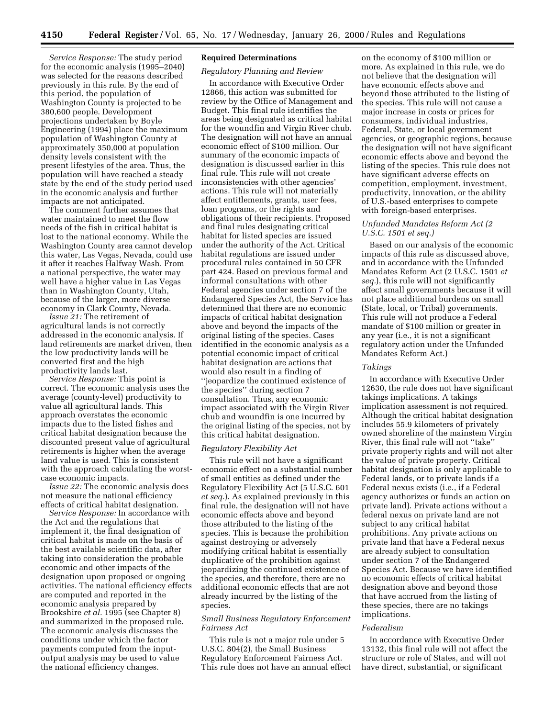*Service Response:* The study period for the economic analysis (1995–2040) was selected for the reasons described previously in this rule. By the end of this period, the population of Washington County is projected to be 380,600 people. Development projections undertaken by Boyle Engineering (1994) place the maximum population of Washington County at approximately 350,000 at population density levels consistent with the present lifestyles of the area. Thus, the population will have reached a steady state by the end of the study period used in the economic analysis and further impacts are not anticipated.

The comment further assumes that water maintained to meet the flow needs of the fish in critical habitat is lost to the national economy. While the Washington County area cannot develop this water, Las Vegas, Nevada, could use it after it reaches Halfway Wash. From a national perspective, the water may well have a higher value in Las Vegas than in Washington County, Utah, because of the larger, more diverse economy in Clark County, Nevada.

*Issue 21:* The retirement of agricultural lands is not correctly addressed in the economic analysis. If land retirements are market driven, then the low productivity lands will be converted first and the high productivity lands last.

*Service Response:* This point is correct. The economic analysis uses the average (county-level) productivity to value all agricultural lands. This approach overstates the economic impacts due to the listed fishes and critical habitat designation because the discounted present value of agricultural retirements is higher when the average land value is used. This is consistent with the approach calculating the worstcase economic impacts.

*Issue 22:* The economic analysis does not measure the national efficiency effects of critical habitat designation.

*Service Response:* In accordance with the Act and the regulations that implement it, the final designation of critical habitat is made on the basis of the best available scientific data, after taking into consideration the probable economic and other impacts of the designation upon proposed or ongoing activities. The national efficiency effects are computed and reported in the economic analysis prepared by Brookshire *et al.* 1995 (see Chapter 8) and summarized in the proposed rule. The economic analysis discusses the conditions under which the factor payments computed from the inputoutput analysis may be used to value the national efficiency changes.

## **Required Determinations**

## *Regulatory Planning and Review*

In accordance with Executive Order 12866, this action was submitted for review by the Office of Management and Budget. This final rule identifies the areas being designated as critical habitat for the woundfin and Virgin River chub. The designation will not have an annual economic effect of \$100 million. Our summary of the economic impacts of designation is discussed earlier in this final rule. This rule will not create inconsistencies with other agencies' actions. This rule will not materially affect entitlements, grants, user fees, loan programs, or the rights and obligations of their recipients. Proposed and final rules designating critical habitat for listed species are issued under the authority of the Act. Critical habitat regulations are issued under procedural rules contained in 50 CFR part 424. Based on previous formal and informal consultations with other Federal agencies under section 7 of the Endangered Species Act, the Service has determined that there are no economic impacts of critical habitat designation above and beyond the impacts of the original listing of the species. Cases identified in the economic analysis as a potential economic impact of critical habitat designation are actions that would also result in a finding of ''jeopardize the continued existence of the species'' during section 7 consultation. Thus, any economic impact associated with the Virgin River chub and woundfin is one incurred by the original listing of the species, not by this critical habitat designation.

#### *Regulatory Flexibility Act*

This rule will not have a significant economic effect on a substantial number of small entities as defined under the Regulatory Flexibility Act (5 U.S.C. 601 *et seq.*). As explained previously in this final rule, the designation will not have economic effects above and beyond those attributed to the listing of the species. This is because the prohibition against destroying or adversely modifying critical habitat is essentially duplicative of the prohibition against jeopardizing the continued existence of the species, and therefore, there are no additional economic effects that are not already incurred by the listing of the species.

## *Small Business Regulatory Enforcement Fairness Act*

This rule is not a major rule under 5 U.S.C. 804(2), the Small Business Regulatory Enforcement Fairness Act. This rule does not have an annual effect

on the economy of \$100 million or more. As explained in this rule, we do not believe that the designation will have economic effects above and beyond those attributed to the listing of the species. This rule will not cause a major increase in costs or prices for consumers, individual industries, Federal, State, or local government agencies, or geographic regions, because the designation will not have significant economic effects above and beyond the listing of the species. This rule does not have significant adverse effects on competition, employment, investment, productivity, innovation, or the ability of U.S.-based enterprises to compete with foreign-based enterprises.

## *Unfunded Mandates Reform Act (2 U.S.C. 1501 et seq.)*

Based on our analysis of the economic impacts of this rule as discussed above, and in accordance with the Unfunded Mandates Reform Act (2 U.S.C. 1501 *et seq.*), this rule will not significantly affect small governments because it will not place additional burdens on small (State, local, or Tribal) governments. This rule will not produce a Federal mandate of \$100 million or greater in any year (i.e., it is not a significant regulatory action under the Unfunded Mandates Reform Act.)

## *Takings*

In accordance with Executive Order 12630, the rule does not have significant takings implications. A takings implication assessment is not required. Although the critical habitat designation includes 55.9 kilometers of privately owned shoreline of the mainstem Virgin River, this final rule will not ''take'' private property rights and will not alter the value of private property. Critical habitat designation is only applicable to Federal lands, or to private lands if a Federal nexus exists (i.e., if a Federal agency authorizes or funds an action on private land). Private actions without a federal nexus on private land are not subject to any critical habitat prohibitions. Any private actions on private land that have a Federal nexus are already subject to consultation under section 7 of the Endangered Species Act. Because we have identified no economic effects of critical habitat designation above and beyond those that have accrued from the listing of these species, there are no takings implications.

#### *Federalism*

In accordance with Executive Order 13132, this final rule will not affect the structure or role of States, and will not have direct, substantial, or significant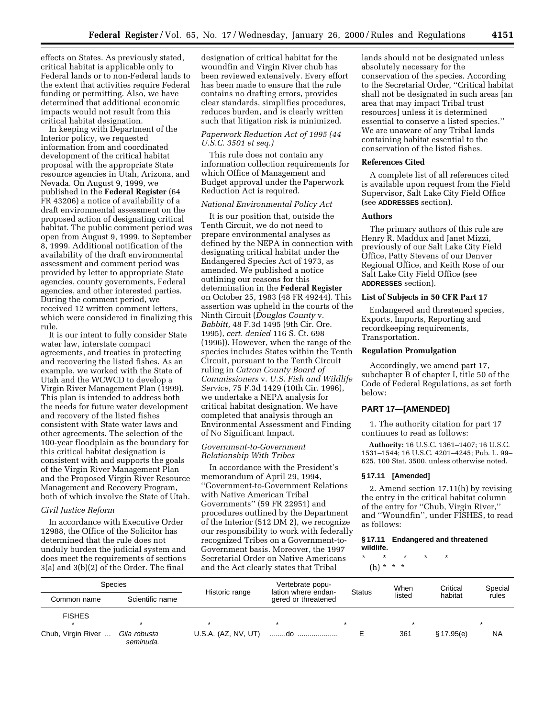effects on States. As previously stated, critical habitat is applicable only to Federal lands or to non-Federal lands to the extent that activities require Federal funding or permitting. Also, we have determined that additional economic impacts would not result from this critical habitat designation.

In keeping with Department of the Interior policy, we requested information from and coordinated development of the critical habitat proposal with the appropriate State resource agencies in Utah, Arizona, and Nevada. On August 9, 1999, we published in the **Federal Register** (64 FR 43206) a notice of availability of a draft environmental assessment on the proposed action of designating critical habitat. The public comment period was open from August 9, 1999, to September 8, 1999. Additional notification of the availability of the draft environmental assessment and comment period was provided by letter to appropriate State agencies, county governments, Federal agencies, and other interested parties. During the comment period, we received 12 written comment letters, which were considered in finalizing this rule.

It is our intent to fully consider State water law, interstate compact agreements, and treaties in protecting and recovering the listed fishes. As an example, we worked with the State of Utah and the WCWCD to develop a Virgin River Management Plan (1999). This plan is intended to address both the needs for future water development and recovery of the listed fishes consistent with State water laws and other agreements. The selection of the 100-year floodplain as the boundary for this critical habitat designation is consistent with and supports the goals of the Virgin River Management Plan and the Proposed Virgin River Resource Management and Recovery Program, both of which involve the State of Utah.

### *Civil Justice Reform*

In accordance with Executive Order 12988, the Office of the Solicitor has determined that the rule does not unduly burden the judicial system and does meet the requirements of sections 3(a) and 3(b)(2) of the Order. The final

designation of critical habitat for the woundfin and Virgin River chub has been reviewed extensively. Every effort has been made to ensure that the rule contains no drafting errors, provides clear standards, simplifies procedures, reduces burden, and is clearly written such that litigation risk is minimized.

## *Paperwork Reduction Act of 1995 (44 U.S.C. 3501 et seq.)*

This rule does not contain any information collection requirements for which Office of Management and Budget approval under the Paperwork Reduction Act is required.

#### *National Environmental Policy Act*

It is our position that, outside the Tenth Circuit, we do not need to prepare environmental analyses as defined by the NEPA in connection with designating critical habitat under the Endangered Species Act of 1973, as amended. We published a notice outlining our reasons for this determination in the **Federal Register** on October 25, 1983 (48 FR 49244). This assertion was upheld in the courts of the Ninth Circuit (*Douglas County* v. *Babbitt,* 48 F.3d 1495 (9th Cir. Ore. 1995), *cert. denied* 116 S. Ct. 698 (1996)). However, when the range of the species includes States within the Tenth Circuit, pursuant to the Tenth Circuit ruling in *Catron County Board of Commissioners* v. *U.S. Fish and Wildlife Service,* 75 F.3d 1429 (10th Cir. 1996), we undertake a NEPA analysis for critical habitat designation. We have completed that analysis through an Environmental Assessment and Finding of No Significant Impact.

## *Government-to-Government Relationship With Tribes*

In accordance with the President's memorandum of April 29, 1994, ''Government-to-Government Relations with Native American Tribal Governments'' (59 FR 22951) and procedures outlined by the Department of the Interior (512 DM 2), we recognize our responsibility to work with federally recognized Tribes on a Government-to-Government basis. Moreover, the 1997 Secretarial Order on Native Americans and the Act clearly states that Tribal

lands should not be designated unless absolutely necessary for the conservation of the species. According to the Secretarial Order, ''Critical habitat shall not be designated in such areas [an area that may impact Tribal trust resources] unless it is determined essential to conserve a listed species.'' We are unaware of any Tribal lands containing habitat essential to the conservation of the listed fishes.

#### **References Cited**

A complete list of all references cited is available upon request from the Field Supervisor, Salt Lake City Field Office (see **ADDRESSES** section).

#### **Authors**

The primary authors of this rule are Henry R. Maddux and Janet Mizzi, previously of our Salt Lake City Field Office, Patty Stevens of our Denver Regional Office, and Keith Rose of our Salt Lake City Field Office (see **ADDRESSES** section).

## **List of Subjects in 50 CFR Part 17**

Endangered and threatened species, Exports, Imports, Reporting and recordkeeping requirements, Transportation.

#### **Regulation Promulgation**

Accordingly, we amend part 17, subchapter B of chapter I, title 50 of the Code of Federal Regulations, as set forth below:

## **PART 17—[AMENDED]**

1. The authority citation for part 17 continues to read as follows:

**Authority:** 16 U.S.C. 1361–1407; 16 U.S.C. 1531–1544; 16 U.S.C. 4201–4245; Pub. L. 99– 625, 100 Stat. 3500, unless otherwise noted.

#### **§ 17.11 [Amended]**

2. Amend section 17.11(h) by revising the entry in the critical habitat column of the entry for ''Chub, Virgin River,'' and ''Woundfin'', under FISHES, to read as follows:

#### **§ 17.11 Endangered and threatened wildlife.**

- \* \* \* \* \*
	- (h) \* \* \*

| <b>Species</b>     |                           | Vertebrate popu-    |                                            | When          | Critical | Special    |           |
|--------------------|---------------------------|---------------------|--------------------------------------------|---------------|----------|------------|-----------|
| Common name        | Scientific name           | Historic range      | lation where endan-<br>gered or threatened | <b>Status</b> | listed   | habitat    | rules     |
| <b>FISHES</b><br>÷ |                           |                     |                                            |               |          |            |           |
| Chub, Virgin River | Gila robusta<br>seminuda. | U.S.A. (AZ, NV, UT) |                                            |               | 361      | \$17.95(e) | <b>NA</b> |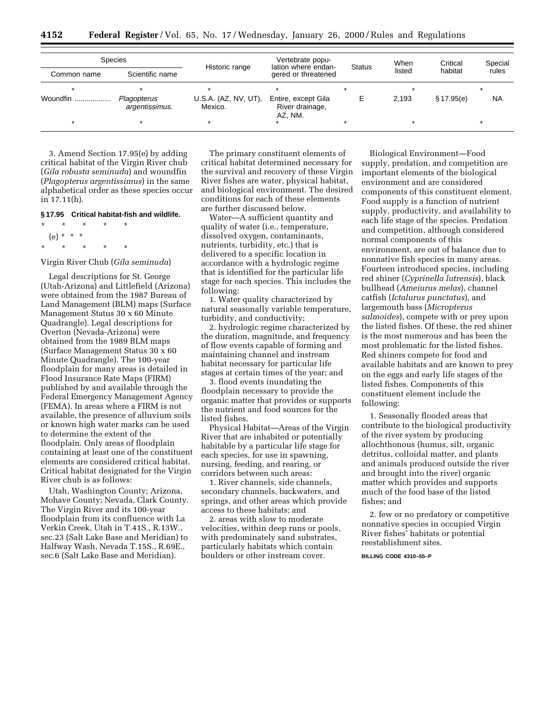| <b>Species</b> |                               |                                                              | Vertebrate popu-                                  |               | When   | Critical   | Special   |
|----------------|-------------------------------|--------------------------------------------------------------|---------------------------------------------------|---------------|--------|------------|-----------|
| Common name    | Scientific name               | Historic range<br>lation where endan-<br>gered or threatened |                                                   | <b>Status</b> | listed | habitat    | rules     |
|                |                               |                                                              |                                                   |               |        |            |           |
| Woundfin       | Plagopterus<br>argentissimus. | U.S.A. (AZ, NV, UT),<br>Mexico.                              | Entire, except Gila<br>River drainage,<br>AZ, NM. | Е             | 2.193  | § 17.95(e) | <b>NA</b> |
|                |                               |                                                              |                                                   |               |        |            |           |

3. Amend Section 17.95(e) by adding critical habitat of the Virgin River chub (*Gila robusta seminuda*) and woundfin (*Plagopterus argentissimus*) in the same alphabetical order as these species occur in 17.11(h).

## **§ 17.95 Critical habitat-fish and wildlife.**

\* \* \* \* \* (e) \* \* \* \* \* \* \* \*

Virgin River Chub (*Gila seminuda*)

Legal descriptions for St. George (Utah-Arizona) and Littlefield (Arizona) were obtained from the 1987 Bureau of Land Management (BLM) maps (Surface Management Status 30 x 60 Minute Quadrangle). Legal descriptions for Overton (Nevada-Arizona) were obtained from the 1989 BLM maps (Surface Management Status 30 x 60 Minute Quadrangle). The 100-year floodplain for many areas is detailed in Flood Insurance Rate Maps (FIRM) published by and available through the Federal Emergency Management Agency (FEMA). In areas where a FIRM is not available, the presence of alluvium soils or known high water marks can be used to determine the extent of the floodplain. Only areas of floodplain containing at least one of the constituent elements are considered critical habitat. Critical habitat designated for the Virgin River chub is as follows:

Utah, Washington County; Arizona, Mohave County; Nevada, Clark County. The Virgin River and its 100-year floodplain from its confluence with La Verkin Creek, Utah in T.41S., R.13W., sec.23 (Salt Lake Base and Meridian) to Halfway Wash, Nevada T.15S., R.69E., sec.6 (Salt Lake Base and Meridian).

The primary constituent elements of critical habitat determined necessary for the survival and recovery of these Virgin River fishes are water, physical habitat, and biological environment. The desired conditions for each of these elements are further discussed below.

Water—A sufficient quantity and quality of water (i.e., temperature, dissolved oxygen, contaminants, nutrients, turbidity, etc.) that is delivered to a specific location in accordance with a hydrologic regime that is identified for the particular life stage for each species. This includes the following:

1. Water quality characterized by natural seasonally variable temperature, turbidity, and conductivity;

2. hydrologic regime characterized by the duration, magnitude, and frequency of flow events capable of forming and maintaining channel and instream habitat necessary for particular life stages at certain times of the year; and

3. flood events inundating the floodplain necessary to provide the organic matter that provides or supports the nutrient and food sources for the listed fishes.

Physical Habitat—Areas of the Virgin River that are inhabited or potentially habitable by a particular life stage for each species, for use in spawning, nursing, feeding, and rearing, or corridors between such areas:

1. River channels, side channels, secondary channels, backwaters, and springs, and other areas which provide access to these habitats; and

2. areas with slow to moderate velocities, within deep runs or pools, with predominately sand substrates, particularly habitats which contain boulders or other instream cover.

Biological Environment—Food supply, predation, and competition are important elements of the biological environment and are considered components of this constituent element. Food supply is a function of nutrient supply, productivity, and availability to each life stage of the species. Predation and competition, although considered normal components of this environment, are out of balance due to nonnative fish species in many areas. Fourteen introduced species, including red shiner (*Cyprinella lutrensis*), black bullhead (*Ameiurus melas*), channel catfish (*Ictalurus punctatus*), and largemouth bass (*Micropterus salmoides*), compete with or prey upon the listed fishes. Of these, the red shiner is the most numerous and has been the most problematic for the listed fishes. Red shiners compete for food and available habitats and are known to prey on the eggs and early life stages of the listed fishes. Components of this constituent element include the following:

1. Seasonally flooded areas that contribute to the biological productivity of the river system by producing allochthonous (humus, silt, organic detritus, colloidal matter, and plants and animals produced outside the river and brought into the river) organic matter which provides and supports much of the food base of the listed fishes; and

2. few or no predatory or competitive nonnative species in occupied Virgin River fishes' habitats or potential reestablishment sites.

**BILLING CODE 4310–55–P**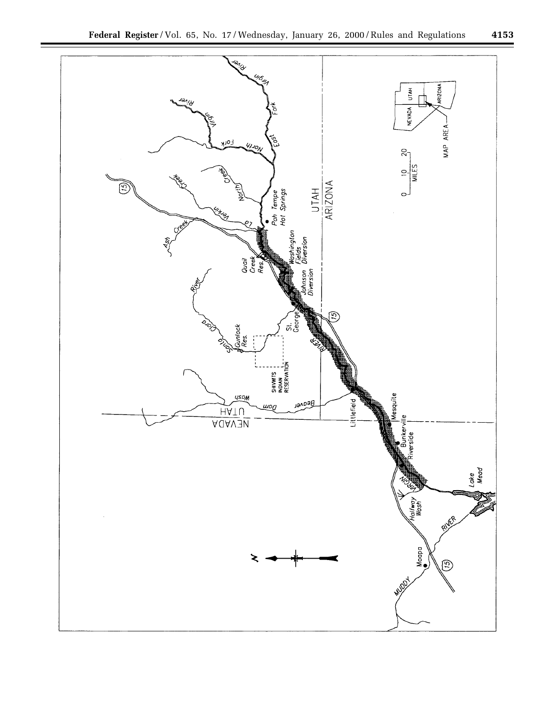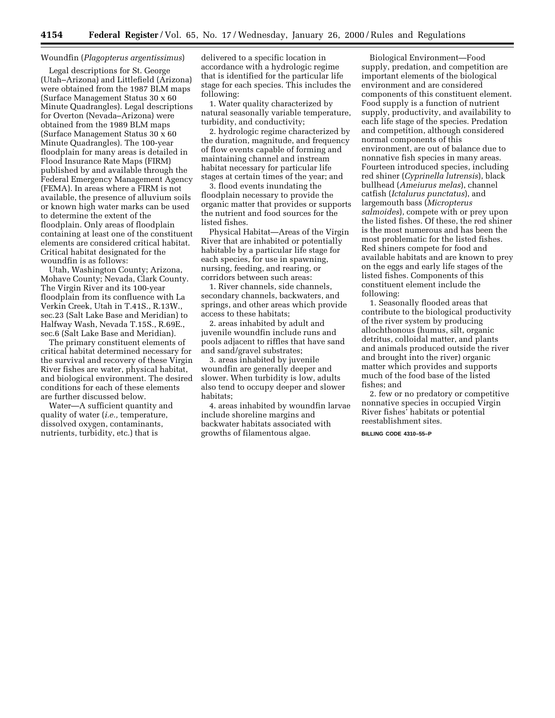## Woundfin (*Plagopterus argentissimus*)

Legal descriptions for St. George (Utah–Arizona) and Littlefield (Arizona) were obtained from the 1987 BLM maps (Surface Management Status 30 x 60 Minute Quadrangles). Legal descriptions for Overton (Nevada–Arizona) were obtained from the 1989 BLM maps (Surface Management Status 30 x 60 Minute Quadrangles). The 100-year floodplain for many areas is detailed in Flood Insurance Rate Maps (FIRM) published by and available through the Federal Emergency Management Agency (FEMA). In areas where a FIRM is not available, the presence of alluvium soils or known high water marks can be used to determine the extent of the floodplain. Only areas of floodplain containing at least one of the constituent elements are considered critical habitat. Critical habitat designated for the woundfin is as follows:

Utah, Washington County; Arizona, Mohave County; Nevada, Clark County. The Virgin River and its 100-year floodplain from its confluence with La Verkin Creek, Utah in T.41S., R.13W., sec.23 (Salt Lake Base and Meridian) to Halfway Wash, Nevada T.15S., R.69E., sec.6 (Salt Lake Base and Meridian).

The primary constituent elements of critical habitat determined necessary for the survival and recovery of these Virgin River fishes are water, physical habitat, and biological environment. The desired conditions for each of these elements are further discussed below.

Water—A sufficient quantity and quality of water (*i.e.,* temperature, dissolved oxygen, contaminants, nutrients, turbidity, etc.) that is

delivered to a specific location in accordance with a hydrologic regime that is identified for the particular life stage for each species. This includes the following:

1. Water quality characterized by natural seasonally variable temperature, turbidity, and conductivity;

2. hydrologic regime characterized by the duration, magnitude, and frequency of flow events capable of forming and maintaining channel and instream habitat necessary for particular life stages at certain times of the year; and

3. flood events inundating the floodplain necessary to provide the organic matter that provides or supports the nutrient and food sources for the listed fishes.

Physical Habitat—Areas of the Virgin River that are inhabited or potentially habitable by a particular life stage for each species, for use in spawning, nursing, feeding, and rearing, or corridors between such areas:

1. River channels, side channels, secondary channels, backwaters, and springs, and other areas which provide access to these habitats;

2. areas inhabited by adult and juvenile woundfin include runs and pools adjacent to riffles that have sand and sand/gravel substrates;

3. areas inhabited by juvenile woundfin are generally deeper and slower. When turbidity is low, adults also tend to occupy deeper and slower habitats;

4. areas inhabited by woundfin larvae include shoreline margins and backwater habitats associated with growths of filamentous algae.

Biological Environment—Food supply, predation, and competition are important elements of the biological environment and are considered components of this constituent element. Food supply is a function of nutrient supply, productivity, and availability to each life stage of the species. Predation and competition, although considered normal components of this environment, are out of balance due to nonnative fish species in many areas. Fourteen introduced species, including red shiner (*Cyprinella lutrensis*), black bullhead (*Ameiurus melas*), channel catfish (*Ictalurus punctatus*), and largemouth bass (*Micropterus salmoides*), compete with or prey upon the listed fishes. Of these, the red shiner is the most numerous and has been the most problematic for the listed fishes. Red shiners compete for food and available habitats and are known to prey on the eggs and early life stages of the listed fishes. Components of this constituent element include the following:

1. Seasonally flooded areas that contribute to the biological productivity of the river system by producing allochthonous (humus, silt, organic detritus, colloidal matter, and plants and animals produced outside the river and brought into the river) organic matter which provides and supports much of the food base of the listed fishes; and

2. few or no predatory or competitive nonnative species in occupied Virgin River fishes' habitats or potential reestablishment sites.

**BILLING CODE 4310–55–P**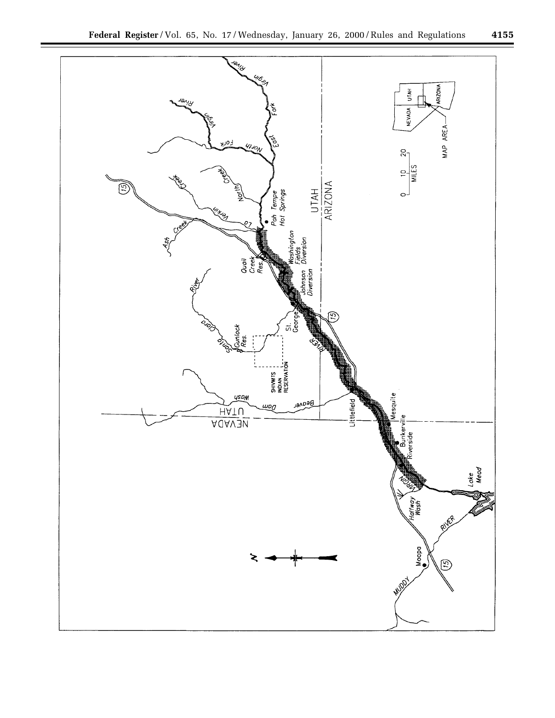

۰